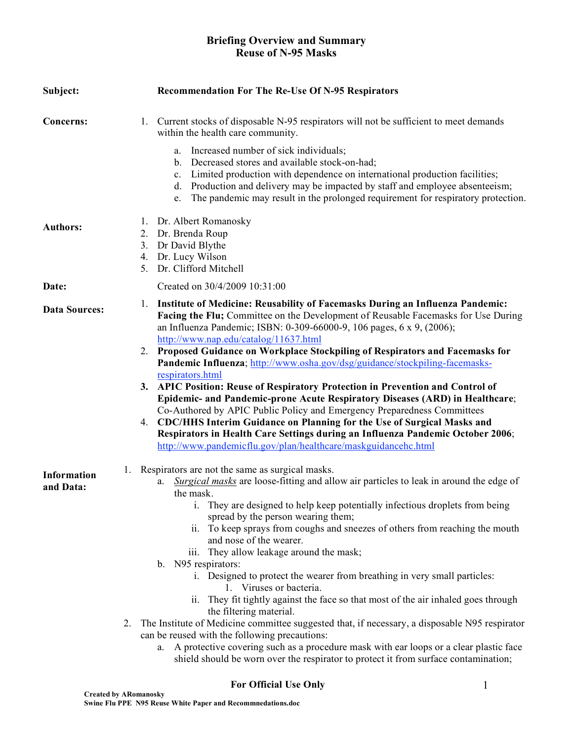# **Briefing Overview and Summary Reuse of N-95 Masks**

| Subject:                        | <b>Recommendation For The Re-Use Of N-95 Respirators</b>                                                                                                                                                                                                                                                                                                                                                                                                                                                                                                                                                                                                                                                                                                                                                                                                                                                                                                                                                                                   |
|---------------------------------|--------------------------------------------------------------------------------------------------------------------------------------------------------------------------------------------------------------------------------------------------------------------------------------------------------------------------------------------------------------------------------------------------------------------------------------------------------------------------------------------------------------------------------------------------------------------------------------------------------------------------------------------------------------------------------------------------------------------------------------------------------------------------------------------------------------------------------------------------------------------------------------------------------------------------------------------------------------------------------------------------------------------------------------------|
| Concerns:                       | 1. Current stocks of disposable N-95 respirators will not be sufficient to meet demands<br>within the health care community.                                                                                                                                                                                                                                                                                                                                                                                                                                                                                                                                                                                                                                                                                                                                                                                                                                                                                                               |
|                                 | Increased number of sick individuals;<br>a.<br>b. Decreased stores and available stock-on-had;<br>c. Limited production with dependence on international production facilities;<br>d. Production and delivery may be impacted by staff and employee absenteeism;<br>The pandemic may result in the prolonged requirement for respiratory protection.<br>e.                                                                                                                                                                                                                                                                                                                                                                                                                                                                                                                                                                                                                                                                                 |
| <b>Authors:</b>                 | 1. Dr. Albert Romanosky<br>Dr. Brenda Roup<br>2.<br>Dr David Blythe<br>3.<br>4. Dr. Lucy Wilson<br>Dr. Clifford Mitchell<br>5 <sub>1</sub>                                                                                                                                                                                                                                                                                                                                                                                                                                                                                                                                                                                                                                                                                                                                                                                                                                                                                                 |
| Date:                           | Created on 30/4/2009 10:31:00                                                                                                                                                                                                                                                                                                                                                                                                                                                                                                                                                                                                                                                                                                                                                                                                                                                                                                                                                                                                              |
| <b>Data Sources:</b>            | Institute of Medicine: Reusability of Facemasks During an Influenza Pandemic:<br>1.<br>Facing the Flu; Committee on the Development of Reusable Facemasks for Use During<br>an Influenza Pandemic; ISBN: 0-309-66000-9, 106 pages, 6 x 9, (2006);<br>http://www.nap.edu/catalog/11637.html<br>2. Proposed Guidance on Workplace Stockpiling of Respirators and Facemasks for<br>Pandemic Influenza; http://www.osha.gov/dsg/guidance/stockpiling-facemasks-                                                                                                                                                                                                                                                                                                                                                                                                                                                                                                                                                                                |
|                                 | respirators.html<br>3. APIC Position: Reuse of Respiratory Protection in Prevention and Control of<br>Epidemic- and Pandemic-prone Acute Respiratory Diseases (ARD) in Healthcare;<br>Co-Authored by APIC Public Policy and Emergency Preparedness Committees<br>CDC/HHS Interim Guidance on Planning for the Use of Surgical Masks and<br>4.<br>Respirators in Health Care Settings during an Influenza Pandemic October 2006;<br>http://www.pandemicflu.gov/plan/healthcare/maskguidancehc.html                                                                                                                                                                                                                                                                                                                                                                                                                                                                                                                                          |
| <b>Information</b><br>and Data: | 1. Respirators are not the same as surgical masks.<br>Surgical masks are loose-fitting and allow air particles to leak in around the edge of<br>a.<br>the mask.<br>i. They are designed to help keep potentially infectious droplets from being<br>spread by the person wearing them;<br>ii. To keep sprays from coughs and sneezes of others from reaching the mouth<br>and nose of the wearer.<br>iii. They allow leakage around the mask;<br>b. N95 respirators:<br>i. Designed to protect the wearer from breathing in very small particles:<br>1. Viruses or bacteria.<br>They fit tightly against the face so that most of the air inhaled goes through<br>11.<br>the filtering material.<br>The Institute of Medicine committee suggested that, if necessary, a disposable N95 respirator<br>2.<br>can be reused with the following precautions:<br>a. A protective covering such as a procedure mask with ear loops or a clear plastic face<br>shield should be worn over the respirator to protect it from surface contamination; |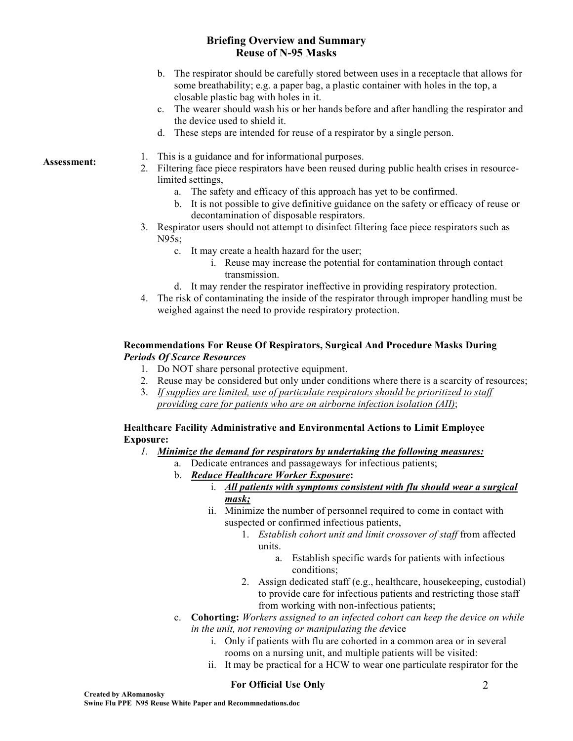# **Briefing Overview and Summary Reuse of N-95 Masks**

- b. The respirator should be carefully stored between uses in a receptacle that allows for some breathability; e.g. a paper bag, a plastic container with holes in the top, a closable plastic bag with holes in it.
- c. The wearer should wash his or her hands before and after handling the respirator and the device used to shield it.
- d. These steps are intended for reuse of a respirator by a single person.

- Assessment: 1. This is a guidance and for informational purposes.
	- 2. Filtering face piece respirators have been reused during public health crises in resourcelimited settings,
		- a. The safety and efficacy of this approach has yet to be confirmed.
		- b. It is not possible to give definitive guidance on the safety or efficacy of reuse or decontamination of disposable respirators.
	- 3. Respirator users should not attempt to disinfect filtering face piece respirators such as N95s;
		- c. It may create a health hazard for the user;
			- i. Reuse may increase the potential for contamination through contact transmission.
		- d. It may render the respirator ineffective in providing respiratory protection.
	- 4. The risk of contaminating the inside of the respirator through improper handling must be weighed against the need to provide respiratory protection.

#### **Recommendations For Reuse Of Respirators, Surgical And Procedure Masks During** *Periods Of Scarce Resources*

- 1. Do NOT share personal protective equipment.
- 2. Reuse may be considered but only under conditions where there is a scarcity of resources;
- 3. *If supplies are limited, use of particulate respirators should be prioritized to staff providing care for patients who are on airborne infection isolation (AII)*;

## **Healthcare Facility Administrative and Environmental Actions to Limit Employee Exposure:**

- *1. Minimize the demand for respirators by undertaking the following measures:*
	- a. Dedicate entrances and passageways for infectious patients;
		- b. *Reduce Healthcare Worker Exposure***:**
			- i. *All patients with symptoms consistent with flu should wear a surgical mask;*
				- ii. Minimize the number of personnel required to come in contact with suspected or confirmed infectious patients,
					- 1. *Establish cohort unit and limit crossover of staff* from affected units.
						- a. Establish specific wards for patients with infectious conditions;
					- 2. Assign dedicated staff (e.g., healthcare, housekeeping, custodial) to provide care for infectious patients and restricting those staff from working with non-infectious patients;
		- c. **Cohorting:** *Workers assigned to an infected cohort can keep the device on while in the unit, not removing or manipulating the de*vice
			- i. Only if patients with flu are cohorted in a common area or in several rooms on a nursing unit, and multiple patients will be visited:
			- ii. It may be practical for a HCW to wear one particulate respirator for the

## **For Official Use Only**